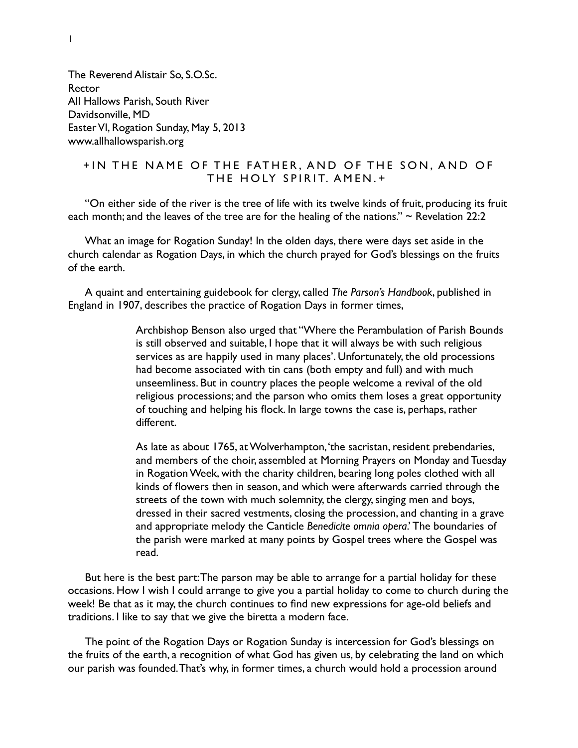The Reverend Alistair So, S.O.Sc. Rector All Hallows Parish, South River Davidsonville, MD Easter VI, Rogation Sunday, May 5, 2013 www.allhallowsparish.org

## +IN THE NAME OF THE FATHER, AND OF THE SON, AND OF THE HOLY SPIRIT. AMEN.+

"On either side of the river is the tree of life with its twelve kinds of fruit, producing its fruit each month; and the leaves of the tree are for the healing of the nations."  $\sim$  Revelation 22:2

What an image for Rogation Sunday! In the olden days, there were days set aside in the church calendar as Rogation Days, in which the church prayed for God's blessings on the fruits of the earth.

A quaint and entertaining guidebook for clergy, called *The Parson's Handbook*, published in England in 1907, describes the practice of Rogation Days in former times,

> Archbishop Benson also urged that "Where the Perambulation of Parish Bounds is still observed and suitable, I hope that it will always be with such religious services as are happily used in many places'. Unfortunately, the old processions had become associated with tin cans (both empty and full) and with much unseemliness. But in country places the people welcome a revival of the old religious processions; and the parson who omits them loses a great opportunity of touching and helping his flock. In large towns the case is, perhaps, rather different.

> As late as about 1765, at Wolverhampton, 'the sacristan, resident prebendaries, and members of the choir, assembled at Morning Prayers on Monday and Tuesday in Rogation Week, with the charity children, bearing long poles clothed with all kinds of flowers then in season, and which were afterwards carried through the streets of the town with much solemnity, the clergy, singing men and boys, dressed in their sacred vestments, closing the procession, and chanting in a grave and appropriate melody the Canticle *Benedicite omnia opera*.' The boundaries of the parish were marked at many points by Gospel trees where the Gospel was read.

But here is the best part: The parson may be able to arrange for a partial holiday for these occasions. How I wish I could arrange to give you a partial holiday to come to church during the week! Be that as it may, the church continues to find new expressions for age-old beliefs and traditions. I like to say that we give the biretta a modern face.

The point of the Rogation Days or Rogation Sunday is intercession for God's blessings on the fruits of the earth, a recognition of what God has given us, by celebrating the land on which our parish was founded. That's why, in former times, a church would hold a procession around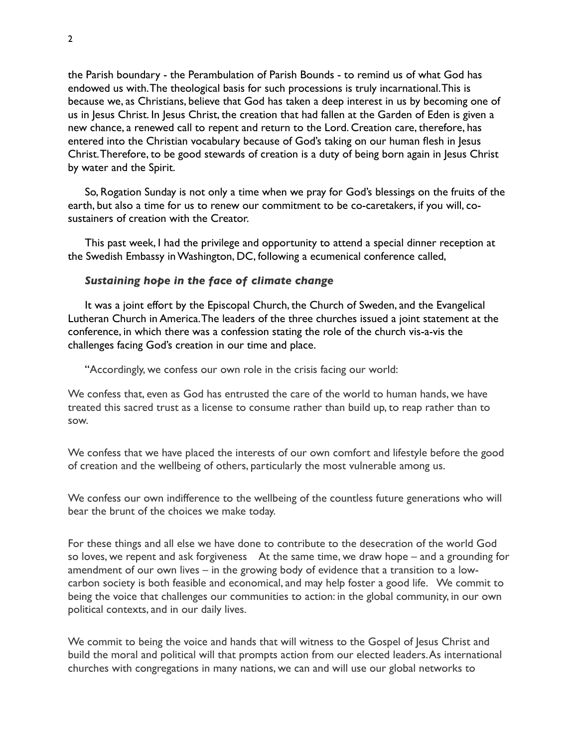the Parish boundary - the Perambulation of Parish Bounds - to remind us of what God has endowed us with. The theological basis for such processions is truly incarnational. This is because we, as Christians, believe that God has taken a deep interest in us by becoming one of us in Jesus Christ. In Jesus Christ, the creation that had fallen at the Garden of Eden is given a new chance, a renewed call to repent and return to the Lord. Creation care, therefore, has entered into the Christian vocabulary because of God's taking on our human flesh in Jesus Christ. Therefore, to be good stewards of creation is a duty of being born again in Jesus Christ by water and the Spirit.

So, Rogation Sunday is not only a time when we pray for God's blessings on the fruits of the earth, but also a time for us to renew our commitment to be co-caretakers, if you will, cosustainers of creation with the Creator.

This past week, I had the privilege and opportunity to attend a special dinner reception at the Swedish Embassy in Washington, DC, following a ecumenical conference called,

## *Sustaining hope in the face of climate change*

It was a joint effort by the Episcopal Church, the Church of Sweden, and the Evangelical Lutheran Church in America. The leaders of the three churches issued a joint statement at the conference, in which there was a confession stating the role of the church vis-a-vis the challenges facing God's creation in our time and place.

"Accordingly, we confess our own role in the crisis facing our world:

We confess that, even as God has entrusted the care of the world to human hands, we have treated this sacred trust as a license to consume rather than build up, to reap rather than to sow.

We confess that we have placed the interests of our own comfort and lifestyle before the good of creation and the wellbeing of others, particularly the most vulnerable among us.

We confess our own indifference to the wellbeing of the countless future generations who will bear the brunt of the choices we make today.

For these things and all else we have done to contribute to the desecration of the world God so loves, we repent and ask forgiveness At the same time, we draw hope – and a grounding for amendment of our own lives – in the growing body of evidence that a transition to a lowcarbon society is both feasible and economical, and may help foster a good life. We commit to being the voice that challenges our communities to action: in the global community, in our own political contexts, and in our daily lives.

We commit to being the voice and hands that will witness to the Gospel of Jesus Christ and build the moral and political will that prompts action from our elected leaders. As international churches with congregations in many nations, we can and will use our global networks to